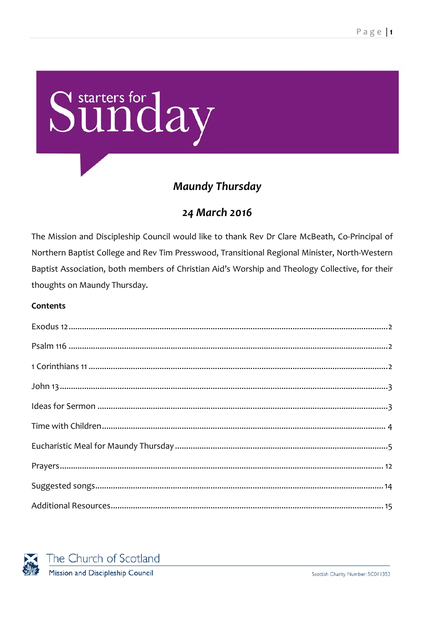# Sunday

# **Maundy Thursday**

## 24 March 2016

The Mission and Discipleship Council would like to thank Rev Dr Clare McBeath, Co-Principal of Northern Baptist College and Rev Tim Presswood, Transitional Regional Minister, North-Western Baptist Association, both members of Christian Aid's Worship and Theology Collective, for their thoughts on Maundy Thursday.

#### Contents

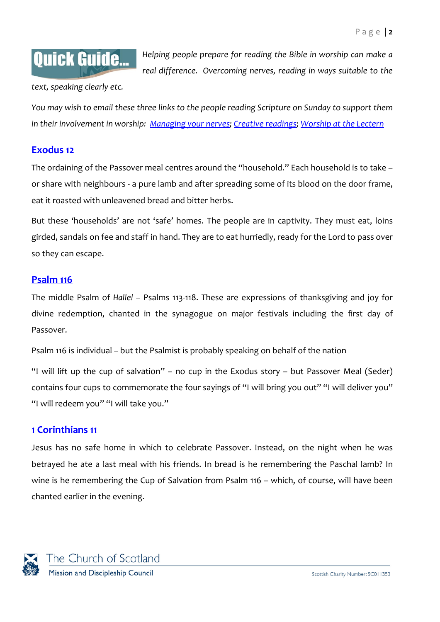# **Quick Guide...**

*Helping people prepare for reading the Bible in worship can make a real difference. Overcoming nerves, reading in ways suitable to the* 

*text, speaking clearly etc.*

*You may wish to email these three links to the people reading Scripture on Sunday to support them in their involvement in worship: [Managing your nerves;](http://www.resourcingmission.org.uk/resources/quick-guides/worship-practice?utm_source=Starters&utm_medium=pdf&utm_campaign=Starters) [Creative readings; Worship at the Lectern](https://www.resourcingmission.org.uk/resources/quick-guides/worship-practice?utm_source=Starters&utm_medium=pdf&utm_campaign=Starters)*

#### <span id="page-1-0"></span>**[Exodus 12](http://bible.oremus.org/?ql=322806672)**

The ordaining of the Passover meal centres around the "household." Each household is to take – or share with neighbours - a pure lamb and after spreading some of its blood on the door frame, eat it roasted with unleavened bread and bitter herbs.

But these 'households' are not 'safe' homes. The people are in captivity. They must eat, loins girded, sandals on fee and staff in hand. They are to eat hurriedly, ready for the Lord to pass over so they can escape.

#### <span id="page-1-1"></span>**[Psalm 116](http://bible.oremus.org/?ql=322806697)**

The middle Psalm of *Hallel* – Psalms 113-118. These are expressions of thanksgiving and joy for divine redemption, chanted in the synagogue on major festivals including the first day of Passover.

Psalm 116 is individual – but the Psalmist is probably speaking on behalf of the nation

"I will lift up the cup of salvation" – no cup in the Exodus story – but Passover Meal (Seder) contains four cups to commemorate the four sayings of "I will bring you out" "I will deliver you" "I will redeem you" "I will take you."

#### <span id="page-1-2"></span>**[1 Corinthians 11](http://bible.oremus.org/?ql=322806743)**

Jesus has no safe home in which to celebrate Passover. Instead, on the night when he was betrayed he ate a last meal with his friends. In bread is he remembering the Paschal lamb? In wine is he remembering the Cup of Salvation from Psalm 116 – which, of course, will have been chanted earlier in the evening.

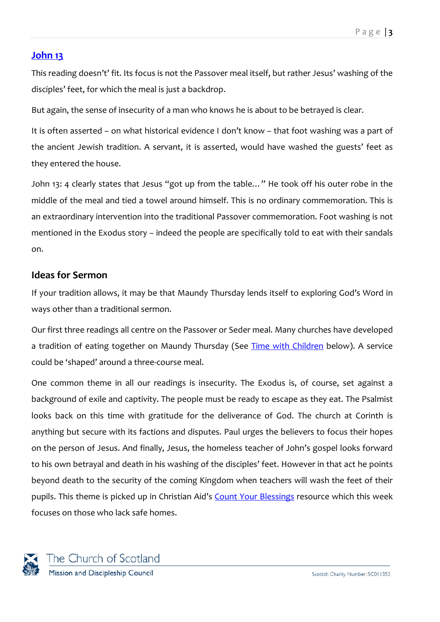#### <span id="page-2-0"></span>**[John 13](http://bible.oremus.org/?ql=322806765)**

This reading doesn't' fit. Its focus is not the Passover meal itself, but rather Jesus' washing of the disciples' feet, for which the meal is just a backdrop.

But again, the sense of insecurity of a man who knows he is about to be betrayed is clear.

It is often asserted – on what historical evidence I don't know – that foot washing was a part of the ancient Jewish tradition. A servant, it is asserted, would have washed the guests' feet as they entered the house.

John 13: 4 clearly states that Jesus "got up from the table…" He took off his outer robe in the middle of the meal and tied a towel around himself. This is no ordinary commemoration. This is an extraordinary intervention into the traditional Passover commemoration. Foot washing is not mentioned in the Exodus story – indeed the people are specifically told to eat with their sandals on.

#### <span id="page-2-1"></span>**Ideas for Sermon**

If your tradition allows, it may be that Maundy Thursday lends itself to exploring God's Word in ways other than a traditional sermon.

Our first three readings all centre on the Passover or Seder meal. Many churches have developed a tradition of eating together on Maundy Thursday (See [Time with Children](#page-3-0) below). A service could be 'shaped' around a three-course meal.

One common theme in all our readings is insecurity. The Exodus is, of course, set against a background of exile and captivity. The people must be ready to escape as they eat. The Psalmist looks back on this time with gratitude for the deliverance of God. The church at Corinth is anything but secure with its factions and disputes. Paul urges the believers to focus their hopes on the person of Jesus. And finally, Jesus, the homeless teacher of John's gospel looks forward to his own betrayal and death in his washing of the disciples' feet. However in that act he points beyond death to the security of the coming Kingdom when teachers will wash the feet of their pupils. This theme is picked up in Christian Aid's [Count Your Blessings](http://www.christianaid.org.uk/getinvolved/lent/count-your-blessings/) resource which this week focuses on those who lack safe homes.

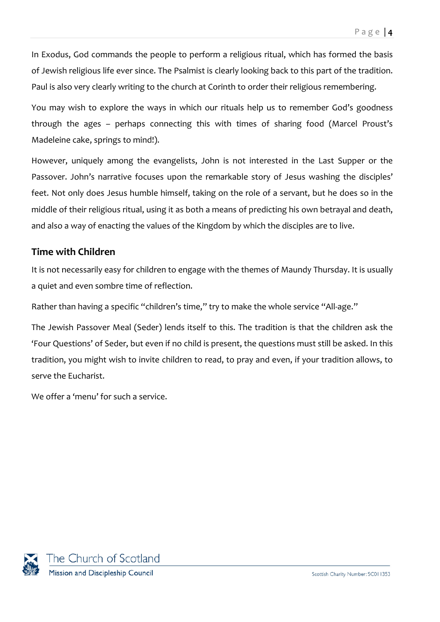In Exodus, God commands the people to perform a religious ritual, which has formed the basis of Jewish religious life ever since. The Psalmist is clearly looking back to this part of the tradition. Paul is also very clearly writing to the church at Corinth to order their religious remembering.

You may wish to explore the ways in which our rituals help us to remember God's goodness through the ages – perhaps connecting this with times of sharing food (Marcel Proust's Madeleine cake, springs to mind!).

However, uniquely among the evangelists, John is not interested in the Last Supper or the Passover. John's narrative focuses upon the remarkable story of Jesus washing the disciples' feet. Not only does Jesus humble himself, taking on the role of a servant, but he does so in the middle of their religious ritual, using it as both a means of predicting his own betrayal and death, and also a way of enacting the values of the Kingdom by which the disciples are to live.

#### <span id="page-3-0"></span>**Time with Children**

It is not necessarily easy for children to engage with the themes of Maundy Thursday. It is usually a quiet and even sombre time of reflection.

Rather than having a specific "children's time," try to make the whole service "All-age."

The Jewish Passover Meal (Seder) lends itself to this. The tradition is that the children ask the 'Four Questions' of Seder, but even if no child is present, the questions must still be asked. In this tradition, you might wish to invite children to read, to pray and even, if your tradition allows, to serve the Eucharist.

We offer a 'menu' for such a service.

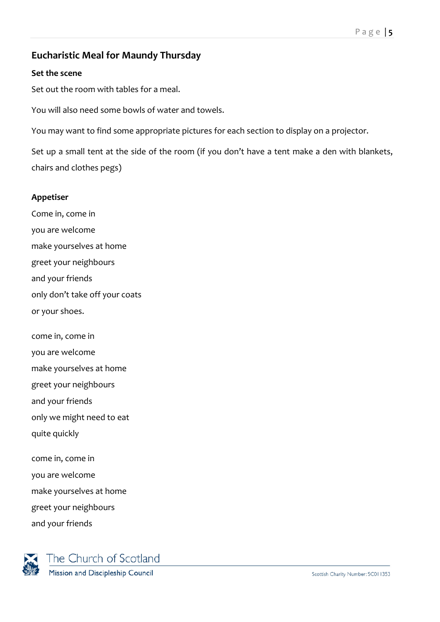#### <span id="page-4-0"></span>**Eucharistic Meal for Maundy Thursday**

#### **Set the scene**

Set out the room with tables for a meal.

You will also need some bowls of water and towels.

You may want to find some appropriate pictures for each section to display on a projector.

Set up a small tent at the side of the room (if you don't have a tent make a den with blankets, chairs and clothes pegs)

#### **Appetiser**

Come in, come in you are welcome make yourselves at home greet your neighbours and your friends only don't take off your coats or your shoes.

come in, come in

you are welcome

make yourselves at home

greet your neighbours

and your friends

only we might need to eat

quite quickly

come in, come in

you are welcome

make yourselves at home

greet your neighbours

and your friends

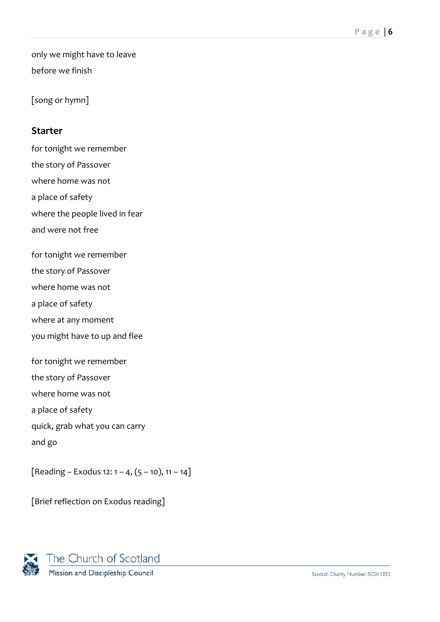only we might have to leave before we finish

[song or hymn]

#### **Starter**

for tonight we remember the story of Passover where home was not a place of safety where the people lived in fear and were not free for tonight we remember the story of Passover where home was not a place of safety where at any moment you might have to up and flee for tonight we remember the story of Passover where home was not a place of safety quick, grab what you can carry and go

[Reading – Exodus 12:  $1 - 4$ ,  $(5 - 10)$ ,  $11 - 14$ ]

[Brief reflection on Exodus reading]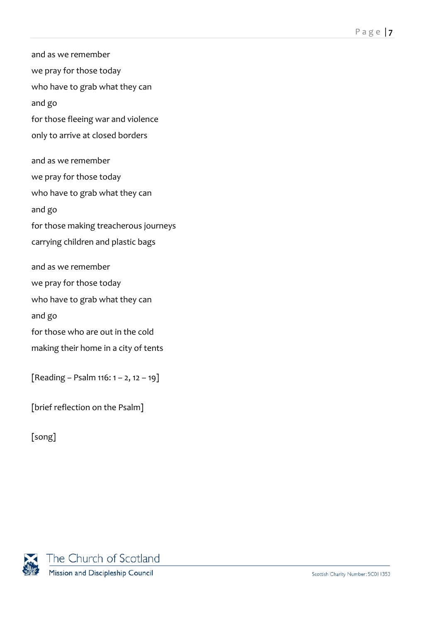and as we remember we pray for those today who have to grab what they can and go for those fleeing war and violence only to arrive at closed borders and as we remember we pray for those today who have to grab what they can and go for those making treacherous journeys carrying children and plastic bags and as we remember we pray for those today who have to grab what they can and go for those who are out in the cold making their home in a city of tents

 $[Reading - Psalm 116: 1 – 2, 12 – 19]$ 

[brief reflection on the Psalm]

[song]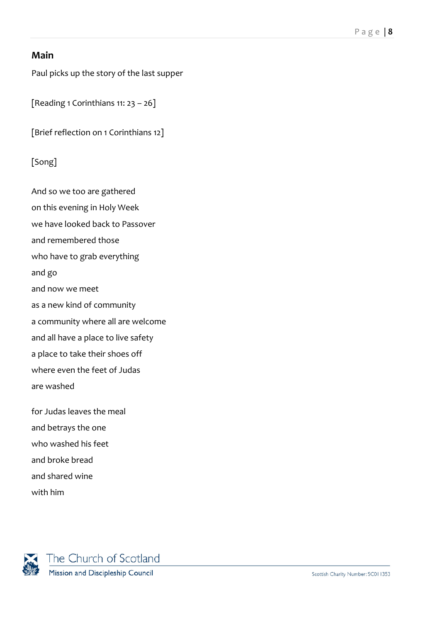#### **Main**

Paul picks up the story of the last supper

[Reading 1 Corinthians  $11: 23 - 26$ ]

[Brief reflection on 1 Corinthians 12]

#### [Song]

And so we too are gathered on this evening in Holy Week we have looked back to Passover and remembered those who have to grab everything and go and now we meet as a new kind of community a community where all are welcome and all have a place to live safety a place to take their shoes off where even the feet of Judas are washed

for Judas leaves the meal and betrays the one who washed his feet and broke bread and shared wine with him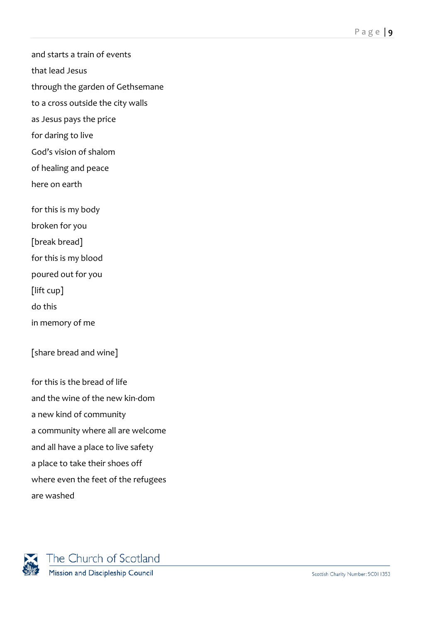and starts a train of events

that lead Jesus

through the garden of Gethsemane

to a cross outside the city walls

as Jesus pays the price

for daring to live

God's vision of shalom

of healing and peace

here on earth

for this is my body

broken for you

[break bread]

for this is my blood

poured out for you

[lift cup]

do this

in memory of me

[share bread and wine]

for this is the bread of life and the wine of the new kin-dom a new kind of community a community where all are welcome and all have a place to live safety a place to take their shoes off where even the feet of the refugees are washed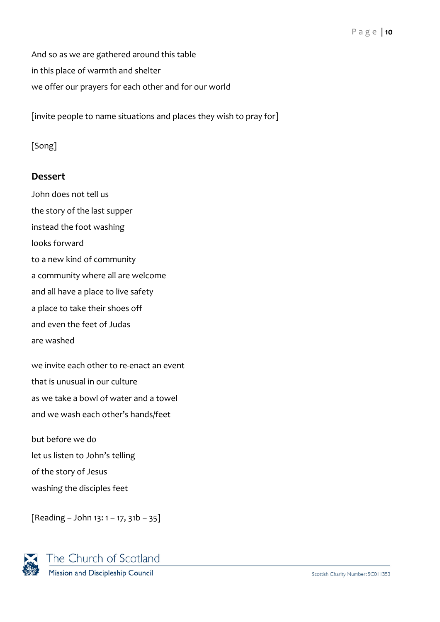And so as we are gathered around this table in this place of warmth and shelter we offer our prayers for each other and for our world

[invite people to name situations and places they wish to pray for]

#### [Song]

#### **Dessert**

John does not tell us the story of the last supper instead the foot washing looks forward to a new kind of community a community where all are welcome and all have a place to live safety a place to take their shoes off and even the feet of Judas are washed

we invite each other to re-enact an event that is unusual in our culture as we take a bowl of water and a towel and we wash each other's hands/feet

but before we do let us listen to John's telling of the story of Jesus washing the disciples feet

 $[Reading - John 13: 1 - 17, 31b - 35]$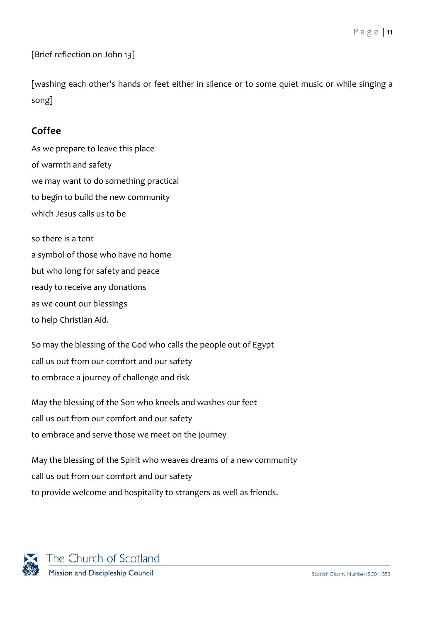[Brief reflection on John 13]

[washing each other's hands or feet either in silence or to some quiet music or while singing a song]

#### **Coffee**

As we prepare to leave this place of warmth and safety we may want to do something practical to begin to build the new community which Jesus calls us to be

so there is a tent a symbol of those who have no home but who long for safety and peace ready to receive any donations as we count our blessings to help Christian Aid.

So may the blessing of the God who calls the people out of Egypt call us out from our comfort and our safety to embrace a journey of challenge and risk

May the blessing of the Son who kneels and washes our feet call us out from our comfort and our safety to embrace and serve those we meet on the journey

May the blessing of the Spirit who weaves dreams of a new community call us out from our comfort and our safety to provide welcome and hospitality to strangers as well as friends.

<span id="page-10-0"></span>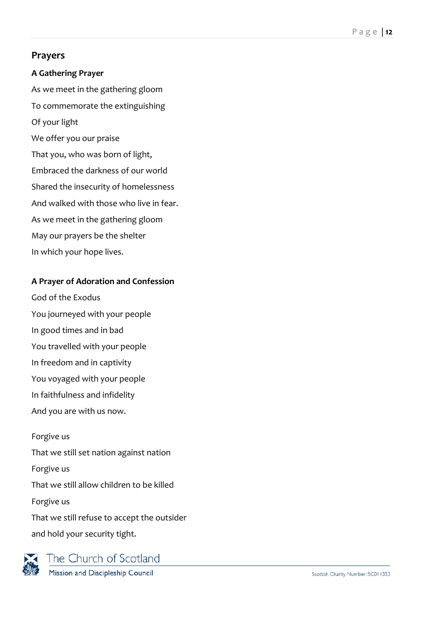#### **Prayers**

#### **A Gathering Prayer**

As we meet in the gathering gloom To commemorate the extinguishing Of your light We offer you our praise That you, who was born of light, Embraced the darkness of our world Shared the insecurity of homelessness And walked with those who live in fear. As we meet in the gathering gloom

- May our prayers be the shelter
- In which your hope lives.

#### **A Prayer of Adoration and Confession**

God of the Exodus You journeyed with your people In good times and in bad You travelled with your people In freedom and in captivity You voyaged with your people In faithfulness and infidelity And you are with us now.

Forgive us That we still set nation against nation Forgive us That we still allow children to be killed Forgive us That we still refuse to accept the outsider and hold your security tight.



The Church of Scotland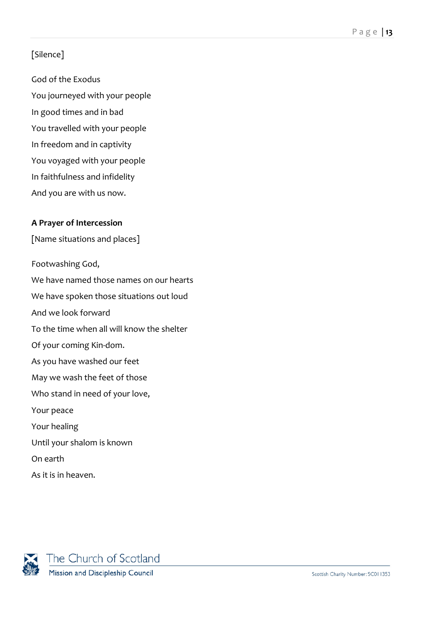#### [Silence]

God of the Exodus You journeyed with your people In good times and in bad You travelled with your people In freedom and in captivity You voyaged with your people In faithfulness and infidelity And you are with us now.

#### **A Prayer of Intercession**

[Name situations and places]

Footwashing God, We have named those names on our hearts We have spoken those situations out loud And we look forward To the time when all will know the shelter Of your coming Kin-dom. As you have washed our feet May we wash the feet of those Who stand in need of your love, Your peace Your healing Until your shalom is known On earth As it is in heaven.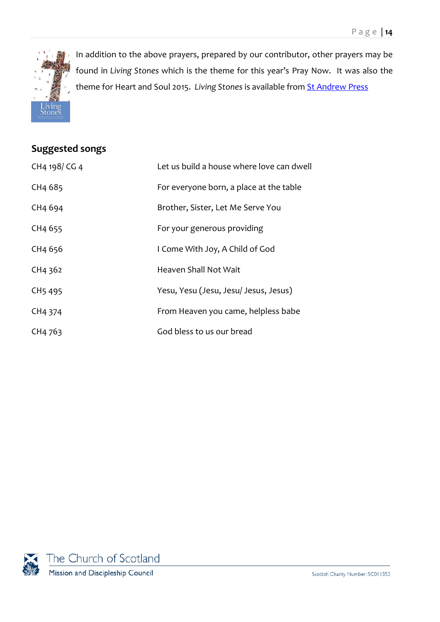

In addition to the above prayers, prepared by our contributor, other prayers may be found in *Living Stones* which is the theme for this year's Pray Now. It was also the theme for Heart and Soul 2015. *Living Stones* is available from [St Andrew Press](http://www.standrewpress.com/books/9780861538881/living-stones)

### <span id="page-13-0"></span>**Suggested songs**

| CH4 198/CG 4                    | Let us build a house where love can dwell |
|---------------------------------|-------------------------------------------|
| CH <sub>4</sub> 68 <sub>5</sub> | For everyone born, a place at the table   |
| CH4 694                         | Brother, Sister, Let Me Serve You         |
| CH4 655                         | For your generous providing               |
| CH4 656                         | I Come With Joy, A Child of God           |
| CH4 362                         | Heaven Shall Not Wait                     |
| CH <sub>5</sub> 495             | Yesu, Yesu (Jesu, Jesu/ Jesus, Jesus)     |
| CH4 374                         | From Heaven you came, helpless babe       |
| CH4 763                         | God bless to us our bread                 |